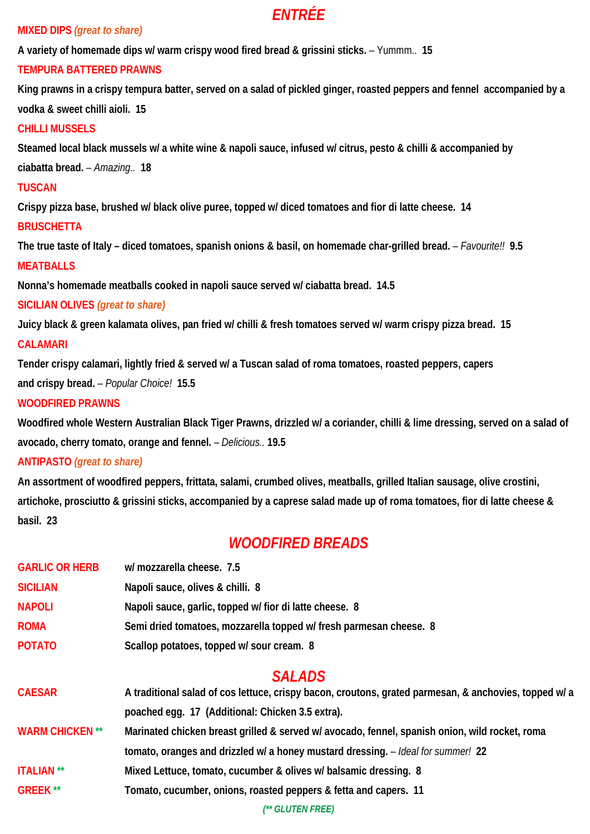# *ENTRÉE*

### **MIXED DIPS** *(great to share)*

**A variety of homemade dips w/ warm crispy wood fired bread & grissini sticks.** – Yummm.. **15** 

## **TEMPURA BATTERED PRAWNS**

**King prawns in a crispy tempura batter, served on a salad of pickled ginger, roasted peppers and fennel accompanied by a vodka & sweet chilli aioli. 15** 

## **CHILLI MUSSELS**

**Steamed local black mussels w/ a white wine & napoli sauce, infused w/ citrus, pesto & chilli & accompanied by ciabatta bread.** *– Amazing..* **18**

### **TUSCAN**

**Crispy pizza base, brushed w/ black olive puree, topped w/ diced tomatoes and fior di latte cheese. 14** 

## **BRUSCHETTA**

**The true taste of Italy – diced tomatoes, spanish onions & basil, on homemade char-grilled bread.** *– Favourite!!* **9.5 MEATBALLS** 

**Nonna's homemade meatballs cooked in napoli sauce served w/ ciabatta bread. 14.5** 

## **SICILIAN OLIVES** *(great to share)*

**Juicy black & green kalamata olives, pan fried w/ chilli & fresh tomatoes served w/ warm crispy pizza bread. 15** 

## **CALAMARI**

**Tender crispy calamari, lightly fried & served w/ a Tuscan salad of roma tomatoes, roasted peppers, capers** 

**and crispy bread.** *– Popular Choice!* **15.5** 

## **WOODFIRED PRAWNS**

**Woodfired whole Western Australian Black Tiger Prawns, drizzled w/ a coriander, chilli & lime dressing, served on a salad of avocado, cherry tomato, orange and fennel.** *– Delicious..* **19.5** 

## **ANTIPASTO** *(great to share)*

**An assortment of woodfired peppers, frittata, salami, crumbed olives, meatballs, grilled Italian sausage, olive crostini, artichoke, prosciutto & grissini sticks, accompanied by a caprese salad made up of roma tomatoes, fior di latte cheese & basil. 23** 

# *WOODFIRED BREADS*

| <b>GARLIC OR HERB</b> | w/ mozzarella cheese. 7.5                                         |
|-----------------------|-------------------------------------------------------------------|
| <b>SICILIAN</b>       | Napoli sauce, olives & chilli. 8                                  |
| <b>NAPOLI</b>         | Napoli sauce, garlic, topped w/ fior di latte cheese. 8           |
| <b>ROMA</b>           | Semi dried tomatoes, mozzarella topped w/fresh parmesan cheese. 8 |
| <b>POTATO</b>         | Scallop potatoes, topped w/ sour cream. 8                         |

# *SALADS*

| <b>CAESAR</b>          | A traditional salad of cos lettuce, crispy bacon, croutons, grated parmesan, & anchovies, topped w/ a |
|------------------------|-------------------------------------------------------------------------------------------------------|
|                        | poached egg. 17 (Additional: Chicken 3.5 extra).                                                      |
| <b>WARM CHICKEN **</b> | Marinated chicken breast grilled & served w/ avocado, fennel, spanish onion, wild rocket, roma        |
|                        | tomato, oranges and drizzled w/ a honey mustard dressing. - Ideal for summer! 22                      |
| <b>ITALIAN</b> **      | Mixed Lettuce, tomato, cucumber & olives w/ balsamic dressing. 8                                      |
| <b>GREEK</b> **        | Tomato, cucumber, onions, roasted peppers & fetta and capers. 11                                      |

*(\*\* GLUTEN FREE)*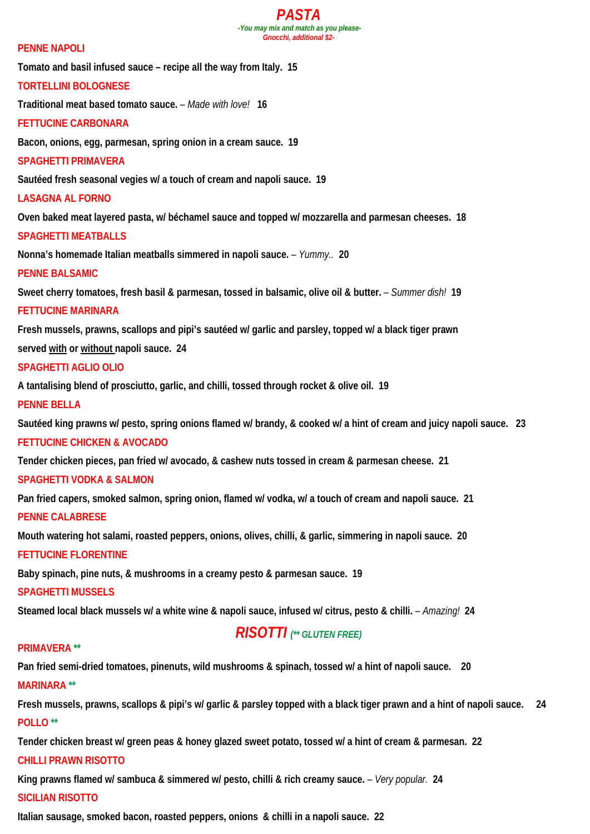#### *PASTA -You may mix and match as you please-Gnocchi, additional \$2-*

#### **PENNE NAPOLI**

**Tomato and basil infused sauce – recipe all the way from Italy. 15** 

#### **TORTELLINI BOLOGNESE**

**Traditional meat based tomato sauce.** *– Made with love!* **16** 

#### **FETTUCINE CARBONARA**

**Bacon, onions, egg, parmesan, spring onion in a cream sauce. 19** 

#### **SPAGHETTI PRIMAVERA**

**Sautéed fresh seasonal vegies w/ a touch of cream and napoli sauce. 19** 

#### **LASAGNA AL FORNO**

**Oven baked meat layered pasta, w/ béchamel sauce and topped w/ mozzarella and parmesan cheeses. 18** 

#### **SPAGHETTI MEATBALLS**

**Nonna's homemade Italian meatballs simmered in napoli sauce.** *– Yummy..* **20** 

#### **PENNE BALSAMIC**

Sweet cherry tomatoes, fresh basil & parmesan, tossed in balsamic, olive oil & butter. *- Summer dish!* 19

#### **FETTUCINE MARINARA**

**Fresh mussels, prawns, scallops and pipi's sautéed w/ garlic and parsley, topped w/ a black tiger prawn served with or without napoli sauce. 24** 

### **SPAGHETTI AGLIO OLIO**

**A tantalising blend of prosciutto, garlic, and chilli, tossed through rocket & olive oil. 19** 

#### **PENNE BELLA**

**Sautéed king prawns w/ pesto, spring onions flamed w/ brandy, & cooked w/ a hint of cream and juicy napoli sauce. 23 FETTUCINE CHICKEN & AVOCADO**

**Tender chicken pieces, pan fried w/ avocado, & cashew nuts tossed in cream & parmesan cheese. 21** 

#### **SPAGHETTI VODKA & SALMON**

**Pan fried capers, smoked salmon, spring onion, flamed w/ vodka, w/ a touch of cream and napoli sauce. 21 PENNE CALABRESE** 

**Mouth watering hot salami, roasted peppers, onions, olives, chilli, & garlic, simmering in napoli sauce. 20** 

### **FETTUCINE FLORENTINE**

**Baby spinach, pine nuts, & mushrooms in a creamy pesto & parmesan sauce. 19** 

#### **SPAGHETTI MUSSELS**

**Steamed local black mussels w/ a white wine & napoli sauce, infused w/ citrus, pesto & chilli.** *– Amazing!* **24** 

# *RISOTTI (\*\* GLUTEN FREE)*

### **PRIMAVERA \*\***

**Pan fried semi-dried tomatoes, pinenuts, wild mushrooms & spinach, tossed w/ a hint of napoli sauce. 20 MARINARA \*\***

**Fresh mussels, prawns, scallops & pipi's w/ garlic & parsley topped with a black tiger prawn and a hint of napoli sauce. 24 POLLO \*\***

**Tender chicken breast w/ green peas & honey glazed sweet potato, tossed w/ a hint of cream & parmesan. 22** 

### **CHILLI PRAWN RISOTTO**

**King prawns flamed w/ sambuca & simmered w/ pesto, chilli & rich creamy sauce.** *– Very popular.* **24** 

### **SICILIAN RISOTTO**

**Italian sausage, smoked bacon, roasted peppers, onions & chilli in a napoli sauce. 22**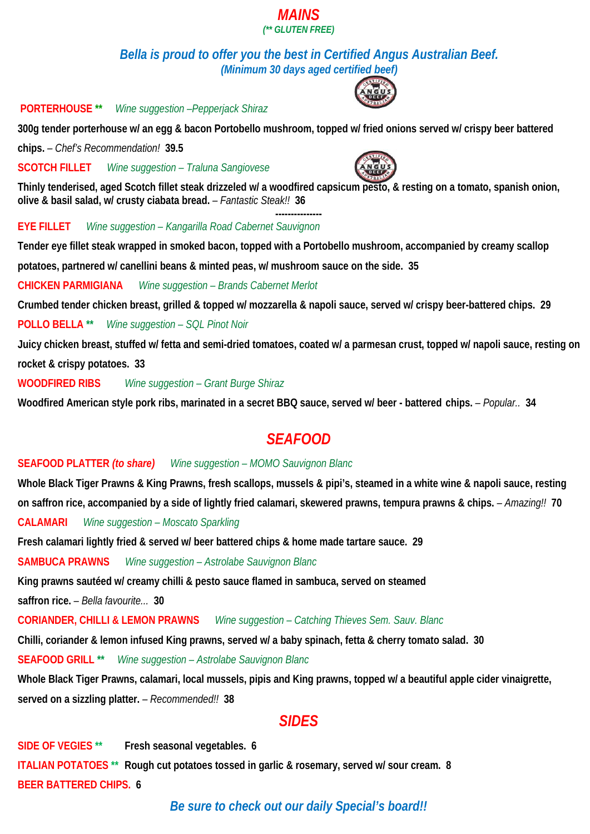### *MAINS (\*\* GLUTEN FREE)*

*Bella is proud to offer you the best in Certified Angus Australian Beef. (Minimum 30 days aged certified beef)* 

 **PORTERHOUSE \*\*** *Wine suggestion –Pepperjack Shiraz* 

**300g tender porterhouse w/ an egg & bacon Portobello mushroom, topped w/ fried onions served w/ crispy beer battered chips.** *– Chef's Recommendation!* **39.5**

**SCOTCH FILLET** *Wine suggestion – Traluna Sangiovese*



**--------------- EYE FILLET** *Wine suggestion – Kangarilla Road Cabernet Sauvignon*

**Tender eye fillet steak wrapped in smoked bacon, topped with a Portobello mushroom, accompanied by creamy scallop** 

**potatoes, partnered w/ canellini beans & minted peas, w/ mushroom sauce on the side. 35**

**CHICKEN PARMIGIANA** *Wine suggestion – Brands Cabernet Merlot* 

**Crumbed tender chicken breast, grilled & topped w/ mozzarella & napoli sauce, served w/ crispy beer-battered chips. 29** 

**POLLO BELLA \*\*** *Wine suggestion – SQL Pinot Noir*

**Juicy chicken breast, stuffed w/ fetta and semi-dried tomatoes, coated w/ a parmesan crust, topped w/ napoli sauce, resting on rocket & crispy potatoes. 33** 

**WOODFIRED RIBS** *Wine suggestion – Grant Burge Shiraz* 

**Woodfired American style pork ribs, marinated in a secret BBQ sauce, served w/ beer - battered chips.** *– Popular..* **34**

# *SEAFOOD*

### **SEAFOOD PLATTER** *(to share) Wine suggestion – MOMO Sauvignon Blanc*

**Whole Black Tiger Prawns & King Prawns, fresh scallops, mussels & pipi's, steamed in a white wine & napoli sauce, resting on saffron rice, accompanied by a side of lightly fried calamari, skewered prawns, tempura prawns & chips.** *– Amazing!!* **70 CALAMARI** *Wine suggestion – Moscato Sparkling*

**Fresh calamari lightly fried & served w/ beer battered chips & home made tartare sauce. 29** 

**SAMBUCA PRAWNS** *Wine suggestion – Astrolabe Sauvignon Blanc*

**King prawns sautéed w/ creamy chilli & pesto sauce flamed in sambuca, served on steamed** 

**saffron rice.** *– Bella favourite...* **30** 

**CORIANDER, CHILLI & LEMON PRAWNS** *Wine suggestion – Catching Thieves Sem. Sauv. Blanc*

**Chilli, coriander & lemon infused King prawns, served w/ a baby spinach, fetta & cherry tomato salad. 30** 

**SEAFOOD GRILL \*\*** *Wine suggestion – Astrolabe Sauvignon Blanc*

**Whole Black Tiger Prawns, calamari, local mussels, pipis and King prawns, topped w/ a beautiful apple cider vinaigrette, served on a sizzling platter.** *– Recommended!!* **38** 

# *SIDES*

**SIDE OF VEGIES \*\* Fresh seasonal vegetables. 6 ITALIAN POTATOES \*\* Rough cut potatoes tossed in garlic & rosemary, served w/ sour cream. 8 BEER BATTERED CHIPS. 6** 

# *Be sure to check out our daily Special's board!!*